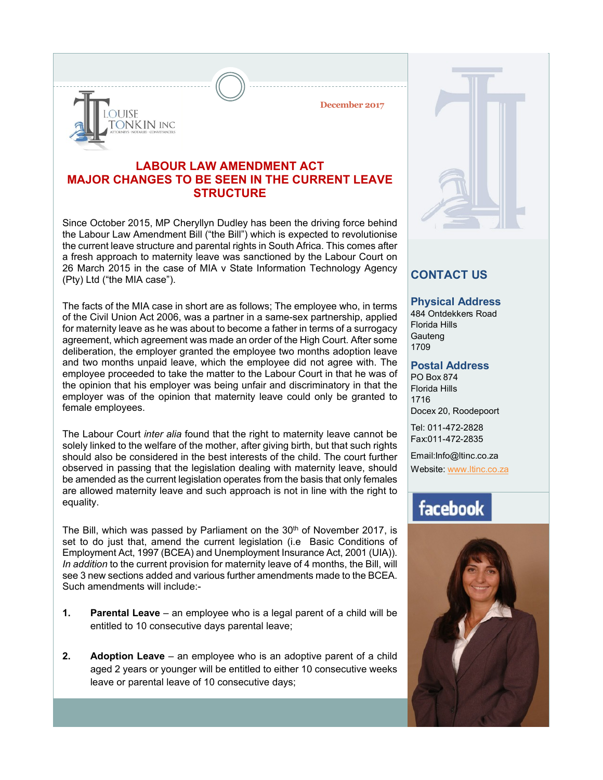**December 2017**

### **LABOUR LAW AMENDMENT ACT MAJOR CHANGES TO BE SEEN IN THE CURRENT LEAVE STRUCTURE**

**DUISE** 

ONKIN INC

Since October 2015, MP Cheryllyn Dudley has been the driving force behind the Labour Law Amendment Bill ("the Bill") which is expected to revolutionise the current leave structure and parental rights in South Africa. This comes after a fresh approach to maternity leave was sanctioned by the Labour Court on 26 March 2015 in the case of MIA v State Information Technology Agency (Pty) Ltd ("the MIA case").

The facts of the MIA case in short are as follows; The employee who, in terms of the Civil Union Act 2006, was a partner in a same-sex partnership, applied for maternity leave as he was about to become a father in terms of a surrogacy agreement, which agreement was made an order of the High Court. After some deliberation, the employer granted the employee two months adoption leave and two months unpaid leave, which the employee did not agree with. The employee proceeded to take the matter to the Labour Court in that he was of the opinion that his employer was being unfair and discriminatory in that the employer was of the opinion that maternity leave could only be granted to female employees.

The Labour Court *inter alia* found that the right to maternity leave cannot be solely linked to the welfare of the mother, after giving birth, but that such rights should also be considered in the best interests of the child. The court further observed in passing that the legislation dealing with maternity leave, should be amended as the current legislation operates from the basis that only females are allowed maternity leave and such approach is not in line with the right to equality.

The Bill, which was passed by Parliament on the 30<sup>th</sup> of November 2017, is set to do just that, amend the current legislation (i.e Basic Conditions of Employment Act, 1997 (BCEA) and Unemployment Insurance Act, 2001 (UIA)). *In addition* to the current provision for maternity leave of 4 months, the Bill, will see 3 new sections added and various further amendments made to the BCEA. Such amendments will include:-

- **1. Parental Leave** an employee who is a legal parent of a child will be entitled to 10 consecutive days parental leave;
- **2. Adoption Leave** an employee who is an adoptive parent of a child aged 2 years or younger will be entitled to either 10 consecutive weeks leave or parental leave of 10 consecutive days;

## **CONTACT US**

#### **Physical Address**

484 Ontdekkers Road Florida Hills **Gauteng** 1709

#### **Postal Address**

PO Box 874 Florida Hills 1716 Docex 20, Roodepoort

Tel: 011-472-2828 Fax:011-472-2835

Email:Info@ltinc.co.za

Website: www.ltinc.co.za

## facebook